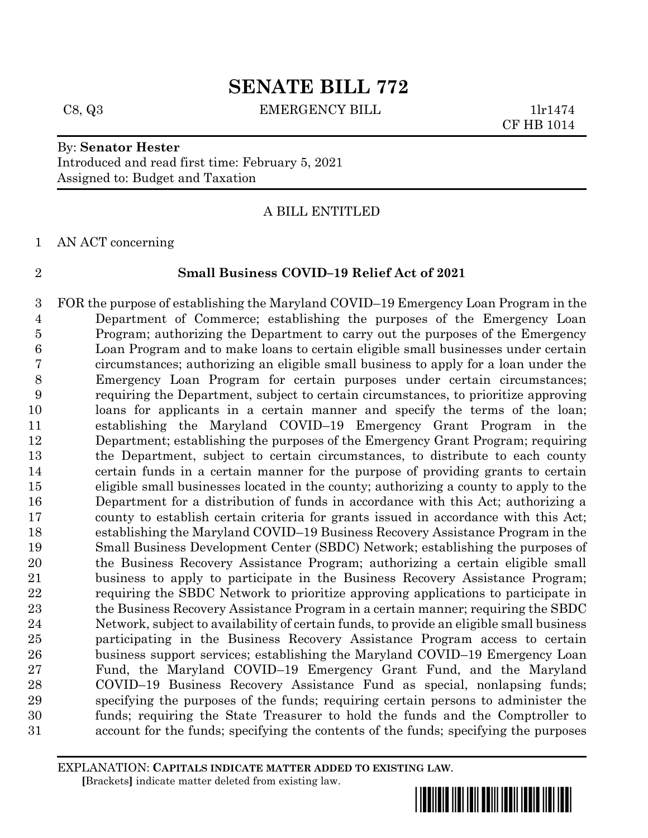C8, Q3 EMERGENCY BILL 1lr1474

CF HB 1014

# By: **Senator Hester**

Introduced and read first time: February 5, 2021 Assigned to: Budget and Taxation

### A BILL ENTITLED

AN ACT concerning

#### **Small Business COVID–19 Relief Act of 2021**

 FOR the purpose of establishing the Maryland COVID–19 Emergency Loan Program in the Department of Commerce; establishing the purposes of the Emergency Loan Program; authorizing the Department to carry out the purposes of the Emergency Loan Program and to make loans to certain eligible small businesses under certain circumstances; authorizing an eligible small business to apply for a loan under the Emergency Loan Program for certain purposes under certain circumstances; requiring the Department, subject to certain circumstances, to prioritize approving loans for applicants in a certain manner and specify the terms of the loan; establishing the Maryland COVID–19 Emergency Grant Program in the Department; establishing the purposes of the Emergency Grant Program; requiring the Department, subject to certain circumstances, to distribute to each county certain funds in a certain manner for the purpose of providing grants to certain eligible small businesses located in the county; authorizing a county to apply to the Department for a distribution of funds in accordance with this Act; authorizing a county to establish certain criteria for grants issued in accordance with this Act; establishing the Maryland COVID–19 Business Recovery Assistance Program in the Small Business Development Center (SBDC) Network; establishing the purposes of the Business Recovery Assistance Program; authorizing a certain eligible small business to apply to participate in the Business Recovery Assistance Program; requiring the SBDC Network to prioritize approving applications to participate in the Business Recovery Assistance Program in a certain manner; requiring the SBDC Network, subject to availability of certain funds, to provide an eligible small business participating in the Business Recovery Assistance Program access to certain business support services; establishing the Maryland COVID–19 Emergency Loan Fund, the Maryland COVID–19 Emergency Grant Fund, and the Maryland COVID–19 Business Recovery Assistance Fund as special, nonlapsing funds; specifying the purposes of the funds; requiring certain persons to administer the funds; requiring the State Treasurer to hold the funds and the Comptroller to account for the funds; specifying the contents of the funds; specifying the purposes

EXPLANATION: **CAPITALS INDICATE MATTER ADDED TO EXISTING LAW**.  **[**Brackets**]** indicate matter deleted from existing law.

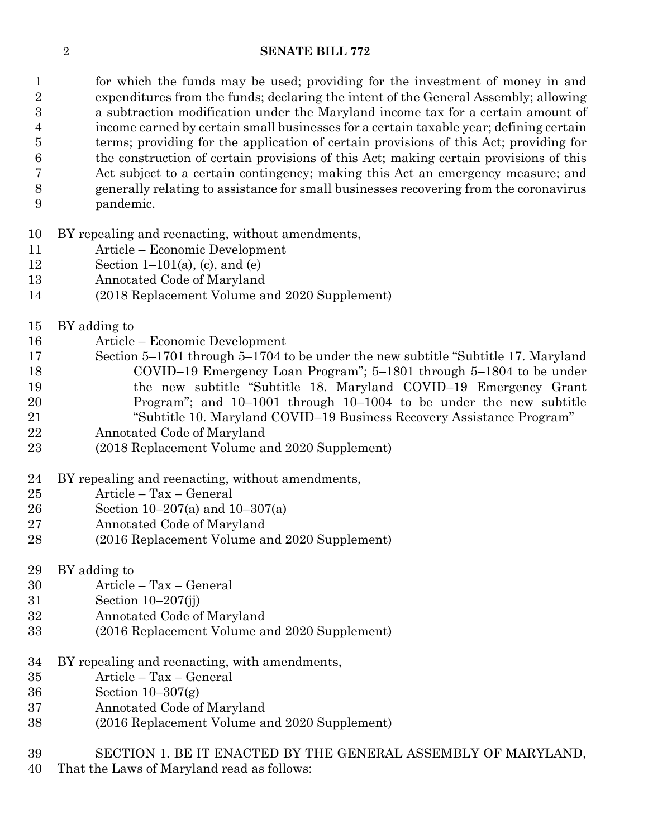1 for which the funds may be used; providing for the investment of money in and expenditures from the funds; declaring the intent of the General Assembly; allowing a subtraction modification under the Maryland income tax for a certain amount of income earned by certain small businesses for a certain taxable year; defining certain terms; providing for the application of certain provisions of this Act; providing for the construction of certain provisions of this Act; making certain provisions of this Act subject to a certain contingency; making this Act an emergency measure; and generally relating to assistance for small businesses recovering from the coronavirus pandemic.

- BY repealing and reenacting, without amendments,
- Article Economic Development
- 12 Section 1–101(a), (c), and (e)
- Annotated Code of Maryland
- (2018 Replacement Volume and 2020 Supplement)
- BY adding to
- Article Economic Development
- Section 5–1701 through 5–1704 to be under the new subtitle "Subtitle 17. Maryland COVID–19 Emergency Loan Program"; 5–1801 through 5–1804 to be under the new subtitle "Subtitle 18. Maryland COVID–19 Emergency Grant Program"; and 10–1001 through 10–1004 to be under the new subtitle "Subtitle 10. Maryland COVID–19 Business Recovery Assistance Program"
- Annotated Code of Maryland
- (2018 Replacement Volume and 2020 Supplement)
- BY repealing and reenacting, without amendments,
- Article Tax General
- Section 10–207(a) and 10–307(a)
- Annotated Code of Maryland
- (2016 Replacement Volume and 2020 Supplement)
- BY adding to
- Article Tax General
- Section 10–207(jj)
- Annotated Code of Maryland
- (2016 Replacement Volume and 2020 Supplement)
- BY repealing and reenacting, with amendments,
- Article Tax General
- Section 10–307(g)
- Annotated Code of Maryland
- (2016 Replacement Volume and 2020 Supplement)
- SECTION 1. BE IT ENACTED BY THE GENERAL ASSEMBLY OF MARYLAND,
- That the Laws of Maryland read as follows: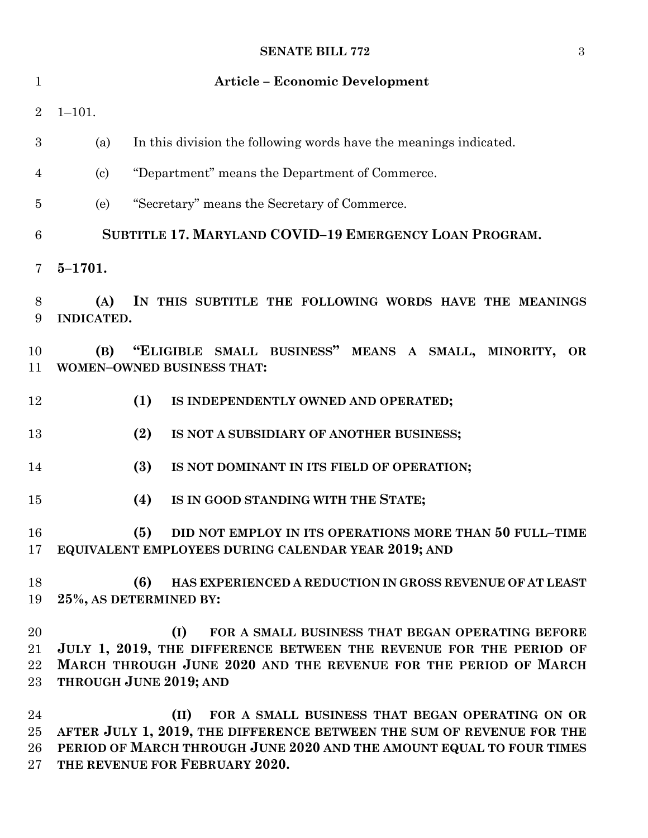| 1                    | <b>Article - Economic Development</b>                                                                                                                                                                                                      |
|----------------------|--------------------------------------------------------------------------------------------------------------------------------------------------------------------------------------------------------------------------------------------|
| $\overline{2}$       | $1 - 101.$                                                                                                                                                                                                                                 |
| 3                    | In this division the following words have the meanings indicated.<br>(a)                                                                                                                                                                   |
| 4                    | "Department" means the Department of Commerce.<br>$\left( \mathrm{c}\right)$                                                                                                                                                               |
| 5                    | "Secretary" means the Secretary of Commerce.<br>(e)                                                                                                                                                                                        |
| $\boldsymbol{6}$     | SUBTITLE 17. MARYLAND COVID-19 EMERGENCY LOAN PROGRAM.                                                                                                                                                                                     |
| 7                    | $5 - 1701.$                                                                                                                                                                                                                                |
| 8<br>9               | IN THIS SUBTITLE THE FOLLOWING WORDS HAVE THE MEANINGS<br>(A)<br><b>INDICATED.</b>                                                                                                                                                         |
| 10<br>11             | "ELIGIBLE SMALL BUSINESS" MEANS A SMALL, MINORITY, OR<br>(B)<br><b>WOMEN-OWNED BUSINESS THAT:</b>                                                                                                                                          |
| 12                   | (1)<br>IS INDEPENDENTLY OWNED AND OPERATED;                                                                                                                                                                                                |
| 13                   | (2)<br>IS NOT A SUBSIDIARY OF ANOTHER BUSINESS;                                                                                                                                                                                            |
| 14                   | (3)<br>IS NOT DOMINANT IN ITS FIELD OF OPERATION;                                                                                                                                                                                          |
| 15                   | (4)<br>IS IN GOOD STANDING WITH THE STATE;                                                                                                                                                                                                 |
| 16<br>17             | (5)<br>DID NOT EMPLOY IN ITS OPERATIONS MORE THAN 50 FULL-TIME<br>EQUIVALENT EMPLOYEES DURING CALENDAR YEAR 2019; AND                                                                                                                      |
| 18<br>19             | (6)<br>HAS EXPERIENCED A REDUCTION IN GROSS REVENUE OF AT LEAST<br>25%, AS DETERMINED BY:                                                                                                                                                  |
| 20<br>21<br>22<br>23 | FOR A SMALL BUSINESS THAT BEGAN OPERATING BEFORE<br>(I)<br>JULY 1, 2019, THE DIFFERENCE BETWEEN THE REVENUE FOR THE PERIOD OF<br>MARCH THROUGH JUNE 2020 AND THE REVENUE FOR THE PERIOD OF MARCH<br>THROUGH JUNE 2019; AND                 |
| 24<br>25<br>26<br>27 | FOR A SMALL BUSINESS THAT BEGAN OPERATING ON OR<br>(II)<br>AFTER JULY 1, 2019, THE DIFFERENCE BETWEEN THE SUM OF REVENUE FOR THE<br>PERIOD OF MARCH THROUGH JUNE 2020 AND THE AMOUNT EQUAL TO FOUR TIMES<br>THE REVENUE FOR FEBRUARY 2020. |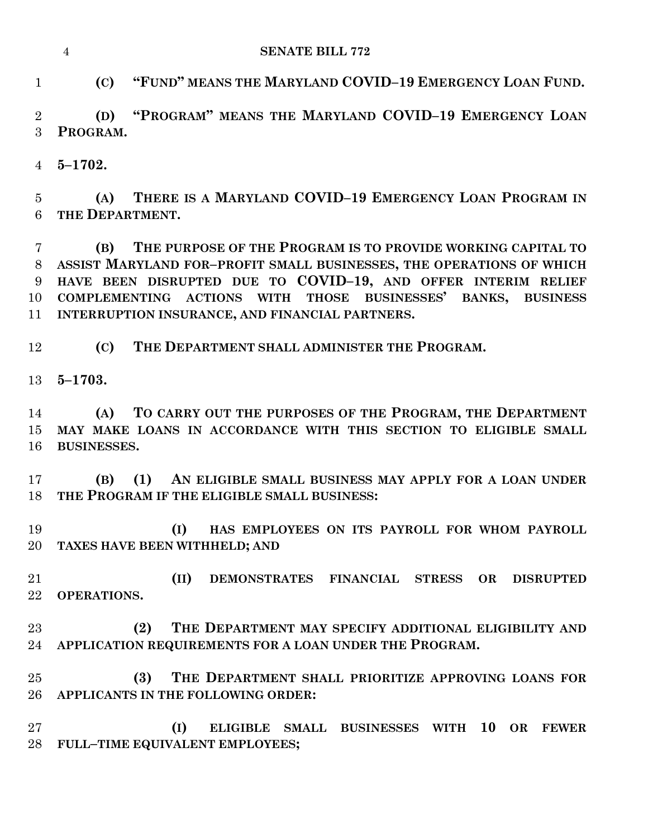**(C) "FUND" MEANS THE MARYLAND COVID–19 EMERGENCY LOAN FUND.**

 **(D) "PROGRAM" MEANS THE MARYLAND COVID–19 EMERGENCY LOAN PROGRAM.**

**5–1702.**

 **(A) THERE IS A MARYLAND COVID–19 EMERGENCY LOAN PROGRAM IN THE DEPARTMENT.**

 **(B) THE PURPOSE OF THE PROGRAM IS TO PROVIDE WORKING CAPITAL TO ASSIST MARYLAND FOR–PROFIT SMALL BUSINESSES, THE OPERATIONS OF WHICH HAVE BEEN DISRUPTED DUE TO COVID–19, AND OFFER INTERIM RELIEF COMPLEMENTING ACTIONS WITH THOSE BUSINESSES' BANKS, BUSINESS INTERRUPTION INSURANCE, AND FINANCIAL PARTNERS.**

**(C) THE DEPARTMENT SHALL ADMINISTER THE PROGRAM.**

**5–1703.**

 **(A) TO CARRY OUT THE PURPOSES OF THE PROGRAM, THE DEPARTMENT MAY MAKE LOANS IN ACCORDANCE WITH THIS SECTION TO ELIGIBLE SMALL BUSINESSES.**

 **(B) (1) AN ELIGIBLE SMALL BUSINESS MAY APPLY FOR A LOAN UNDER THE PROGRAM IF THE ELIGIBLE SMALL BUSINESS:**

 **(I) HAS EMPLOYEES ON ITS PAYROLL FOR WHOM PAYROLL TAXES HAVE BEEN WITHHELD; AND**

 **(II) DEMONSTRATES FINANCIAL STRESS OR DISRUPTED OPERATIONS.**

 **(2) THE DEPARTMENT MAY SPECIFY ADDITIONAL ELIGIBILITY AND APPLICATION REQUIREMENTS FOR A LOAN UNDER THE PROGRAM.**

 **(3) THE DEPARTMENT SHALL PRIORITIZE APPROVING LOANS FOR APPLICANTS IN THE FOLLOWING ORDER:**

 **(I) ELIGIBLE SMALL BUSINESSES WITH 10 OR FEWER FULL–TIME EQUIVALENT EMPLOYEES;**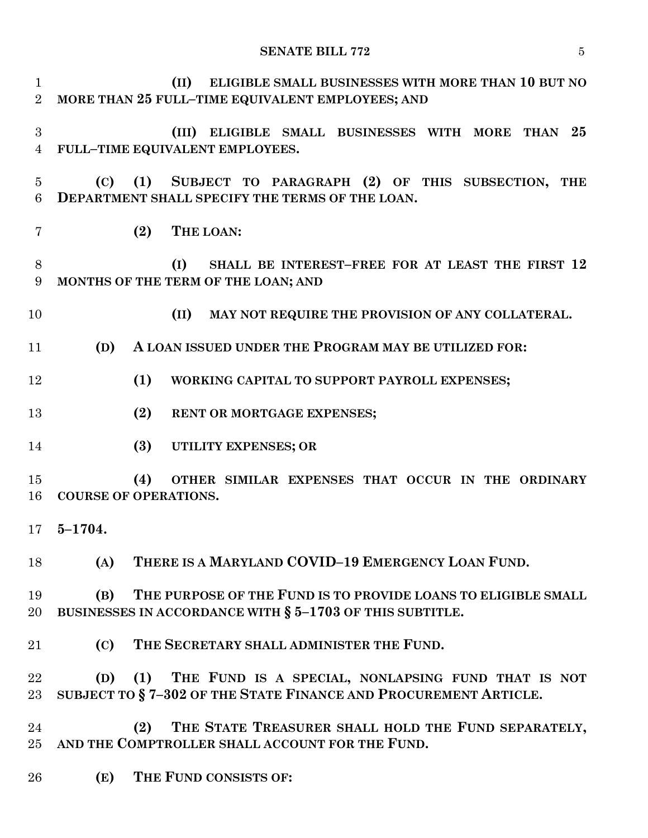**(II) ELIGIBLE SMALL BUSINESSES WITH MORE THAN 10 BUT NO MORE THAN 25 FULL–TIME EQUIVALENT EMPLOYEES; AND (III) ELIGIBLE SMALL BUSINESSES WITH MORE THAN 25 FULL–TIME EQUIVALENT EMPLOYEES. (C) (1) SUBJECT TO PARAGRAPH (2) OF THIS SUBSECTION, THE DEPARTMENT SHALL SPECIFY THE TERMS OF THE LOAN. (2) THE LOAN: (I) SHALL BE INTEREST–FREE FOR AT LEAST THE FIRST 12 MONTHS OF THE TERM OF THE LOAN; AND (II) MAY NOT REQUIRE THE PROVISION OF ANY COLLATERAL. (D) A LOAN ISSUED UNDER THE PROGRAM MAY BE UTILIZED FOR: (1) WORKING CAPITAL TO SUPPORT PAYROLL EXPENSES; (2) RENT OR MORTGAGE EXPENSES; (3) UTILITY EXPENSES; OR (4) OTHER SIMILAR EXPENSES THAT OCCUR IN THE ORDINARY COURSE OF OPERATIONS. 5–1704. (A) THERE IS A MARYLAND COVID–19 EMERGENCY LOAN FUND. (B) THE PURPOSE OF THE FUND IS TO PROVIDE LOANS TO ELIGIBLE SMALL BUSINESSES IN ACCORDANCE WITH § 5–1703 OF THIS SUBTITLE. (C) THE SECRETARY SHALL ADMINISTER THE FUND. (D) (1) THE FUND IS A SPECIAL, NONLAPSING FUND THAT IS NOT SUBJECT TO § 7–302 OF THE STATE FINANCE AND PROCUREMENT ARTICLE. (2) THE STATE TREASURER SHALL HOLD THE FUND SEPARATELY, AND THE COMPTROLLER SHALL ACCOUNT FOR THE FUND. (E) THE FUND CONSISTS OF:**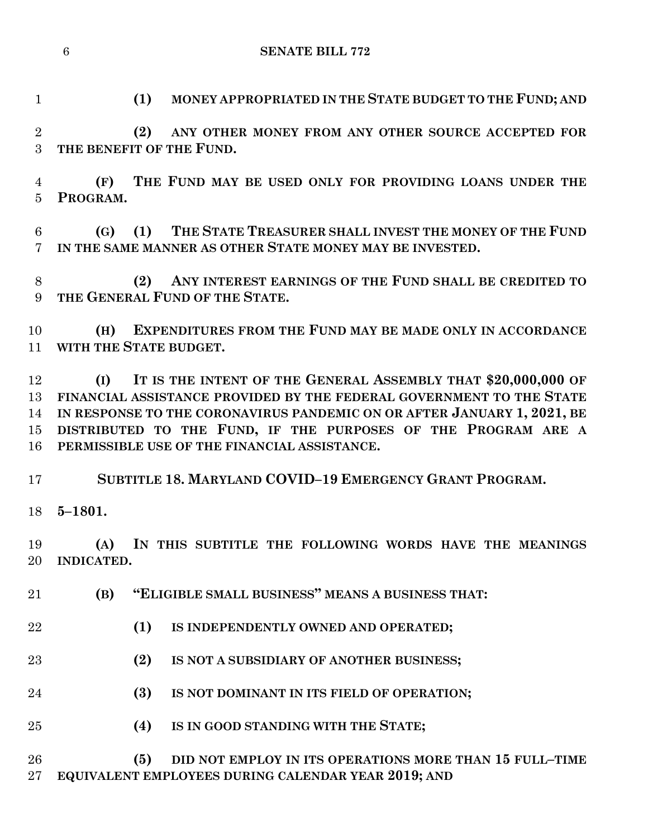**(1) MONEY APPROPRIATED IN THE STATE BUDGET TO THE FUND; AND**

 **(2) ANY OTHER MONEY FROM ANY OTHER SOURCE ACCEPTED FOR THE BENEFIT OF THE FUND.**

 **(F) THE FUND MAY BE USED ONLY FOR PROVIDING LOANS UNDER THE PROGRAM.**

 **(G) (1) THE STATE TREASURER SHALL INVEST THE MONEY OF THE FUND IN THE SAME MANNER AS OTHER STATE MONEY MAY BE INVESTED.**

 **(2) ANY INTEREST EARNINGS OF THE FUND SHALL BE CREDITED TO THE GENERAL FUND OF THE STATE.**

 **(H) EXPENDITURES FROM THE FUND MAY BE MADE ONLY IN ACCORDANCE WITH THE STATE BUDGET.**

 **(I) IT IS THE INTENT OF THE GENERAL ASSEMBLY THAT \$20,000,000 OF FINANCIAL ASSISTANCE PROVIDED BY THE FEDERAL GOVERNMENT TO THE STATE IN RESPONSE TO THE CORONAVIRUS PANDEMIC ON OR AFTER JANUARY 1, 2021, BE DISTRIBUTED TO THE FUND, IF THE PURPOSES OF THE PROGRAM ARE A PERMISSIBLE USE OF THE FINANCIAL ASSISTANCE.**

**SUBTITLE 18. MARYLAND COVID–19 EMERGENCY GRANT PROGRAM.**

**5–1801.**

 **(A) IN THIS SUBTITLE THE FOLLOWING WORDS HAVE THE MEANINGS INDICATED.**

- **(B) "ELIGIBLE SMALL BUSINESS" MEANS A BUSINESS THAT:**
- **(1) IS INDEPENDENTLY OWNED AND OPERATED;**
- **(2) IS NOT A SUBSIDIARY OF ANOTHER BUSINESS;**
- **(3) IS NOT DOMINANT IN ITS FIELD OF OPERATION;**
- **(4) IS IN GOOD STANDING WITH THE STATE;**
- **(5) DID NOT EMPLOY IN ITS OPERATIONS MORE THAN 15 FULL–TIME EQUIVALENT EMPLOYEES DURING CALENDAR YEAR 2019; AND**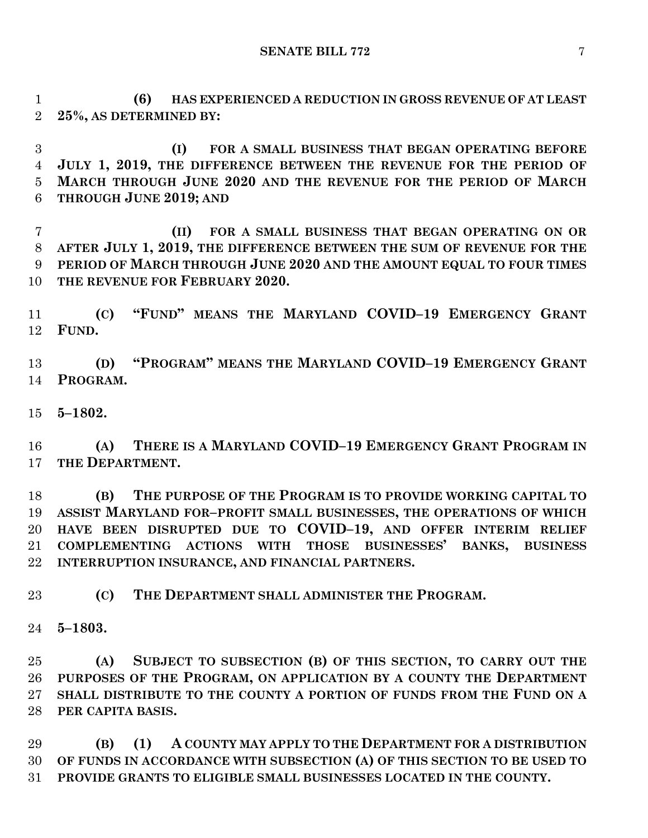**(6) HAS EXPERIENCED A REDUCTION IN GROSS REVENUE OF AT LEAST 25%, AS DETERMINED BY:**

 **(I) FOR A SMALL BUSINESS THAT BEGAN OPERATING BEFORE JULY 1, 2019, THE DIFFERENCE BETWEEN THE REVENUE FOR THE PERIOD OF MARCH THROUGH JUNE 2020 AND THE REVENUE FOR THE PERIOD OF MARCH THROUGH JUNE 2019; AND**

 **(II) FOR A SMALL BUSINESS THAT BEGAN OPERATING ON OR AFTER JULY 1, 2019, THE DIFFERENCE BETWEEN THE SUM OF REVENUE FOR THE PERIOD OF MARCH THROUGH JUNE 2020 AND THE AMOUNT EQUAL TO FOUR TIMES THE REVENUE FOR FEBRUARY 2020.**

 **(C) "FUND" MEANS THE MARYLAND COVID–19 EMERGENCY GRANT FUND.**

 **(D) "PROGRAM" MEANS THE MARYLAND COVID–19 EMERGENCY GRANT PROGRAM.**

**5–1802.**

 **(A) THERE IS A MARYLAND COVID–19 EMERGENCY GRANT PROGRAM IN THE DEPARTMENT.**

 **(B) THE PURPOSE OF THE PROGRAM IS TO PROVIDE WORKING CAPITAL TO ASSIST MARYLAND FOR–PROFIT SMALL BUSINESSES, THE OPERATIONS OF WHICH HAVE BEEN DISRUPTED DUE TO COVID–19, AND OFFER INTERIM RELIEF COMPLEMENTING ACTIONS WITH THOSE BUSINESSES' BANKS, BUSINESS INTERRUPTION INSURANCE, AND FINANCIAL PARTNERS.**

**(C) THE DEPARTMENT SHALL ADMINISTER THE PROGRAM.**

**5–1803.**

 **(A) SUBJECT TO SUBSECTION (B) OF THIS SECTION, TO CARRY OUT THE PURPOSES OF THE PROGRAM, ON APPLICATION BY A COUNTY THE DEPARTMENT SHALL DISTRIBUTE TO THE COUNTY A PORTION OF FUNDS FROM THE FUND ON A PER CAPITA BASIS.**

 **(B) (1) A COUNTY MAY APPLY TO THE DEPARTMENT FOR A DISTRIBUTION OF FUNDS IN ACCORDANCE WITH SUBSECTION (A) OF THIS SECTION TO BE USED TO PROVIDE GRANTS TO ELIGIBLE SMALL BUSINESSES LOCATED IN THE COUNTY.**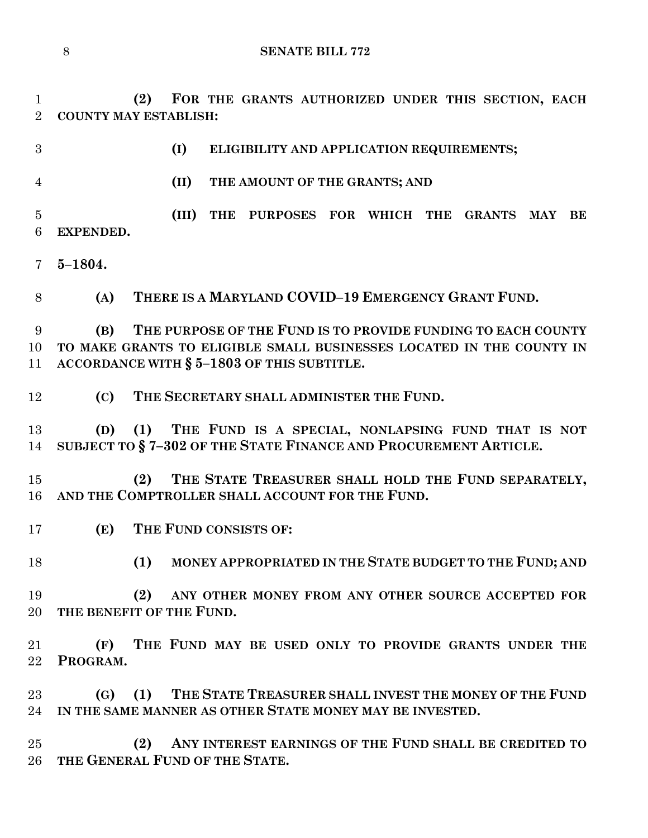**(2) FOR THE GRANTS AUTHORIZED UNDER THIS SECTION, EACH COUNTY MAY ESTABLISH:**

**(I) ELIGIBILITY AND APPLICATION REQUIREMENTS;**

**(II) THE AMOUNT OF THE GRANTS; AND** 

 **(III) THE PURPOSES FOR WHICH THE GRANTS MAY BE EXPENDED.**

**5–1804.**

**(A) THERE IS A MARYLAND COVID–19 EMERGENCY GRANT FUND.**

 **(B) THE PURPOSE OF THE FUND IS TO PROVIDE FUNDING TO EACH COUNTY TO MAKE GRANTS TO ELIGIBLE SMALL BUSINESSES LOCATED IN THE COUNTY IN ACCORDANCE WITH § 5–1803 OF THIS SUBTITLE.**

**(C) THE SECRETARY SHALL ADMINISTER THE FUND.**

 **(D) (1) THE FUND IS A SPECIAL, NONLAPSING FUND THAT IS NOT SUBJECT TO § 7–302 OF THE STATE FINANCE AND PROCUREMENT ARTICLE.**

 **(2) THE STATE TREASURER SHALL HOLD THE FUND SEPARATELY, AND THE COMPTROLLER SHALL ACCOUNT FOR THE FUND.**

- **(E) THE FUND CONSISTS OF:**
- 

**(1) MONEY APPROPRIATED IN THE STATE BUDGET TO THE FUND; AND**

 **(2) ANY OTHER MONEY FROM ANY OTHER SOURCE ACCEPTED FOR THE BENEFIT OF THE FUND.**

 **(F) THE FUND MAY BE USED ONLY TO PROVIDE GRANTS UNDER THE PROGRAM.**

 **(G) (1) THE STATE TREASURER SHALL INVEST THE MONEY OF THE FUND IN THE SAME MANNER AS OTHER STATE MONEY MAY BE INVESTED.**

 **(2) ANY INTEREST EARNINGS OF THE FUND SHALL BE CREDITED TO THE GENERAL FUND OF THE STATE.**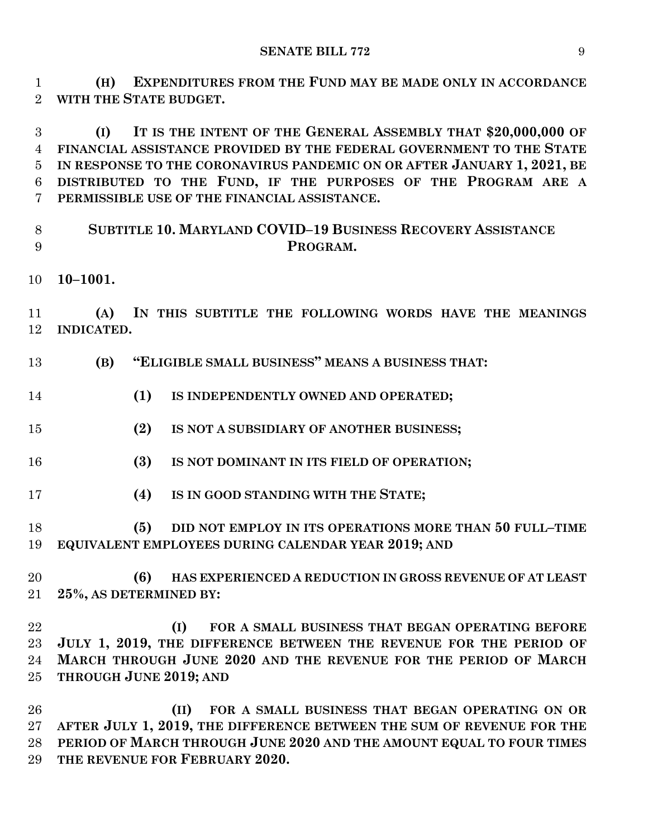**(H) EXPENDITURES FROM THE FUND MAY BE MADE ONLY IN ACCORDANCE WITH THE STATE BUDGET.**

 **(I) IT IS THE INTENT OF THE GENERAL ASSEMBLY THAT \$20,000,000 OF FINANCIAL ASSISTANCE PROVIDED BY THE FEDERAL GOVERNMENT TO THE STATE IN RESPONSE TO THE CORONAVIRUS PANDEMIC ON OR AFTER JANUARY 1, 2021, BE DISTRIBUTED TO THE FUND, IF THE PURPOSES OF THE PROGRAM ARE A PERMISSIBLE USE OF THE FINANCIAL ASSISTANCE.**

- **SUBTITLE 10. MARYLAND COVID–19 BUSINESS RECOVERY ASSISTANCE PROGRAM.**
- **10–1001.**

 **(A) IN THIS SUBTITLE THE FOLLOWING WORDS HAVE THE MEANINGS INDICATED.**

- **(B) "ELIGIBLE SMALL BUSINESS" MEANS A BUSINESS THAT:**
- **(1) IS INDEPENDENTLY OWNED AND OPERATED;**
- **(2) IS NOT A SUBSIDIARY OF ANOTHER BUSINESS;**
- **(3) IS NOT DOMINANT IN ITS FIELD OF OPERATION;**
- **(4) IS IN GOOD STANDING WITH THE STATE;**
- **(5) DID NOT EMPLOY IN ITS OPERATIONS MORE THAN 50 FULL–TIME EQUIVALENT EMPLOYEES DURING CALENDAR YEAR 2019; AND**
- **(6) HAS EXPERIENCED A REDUCTION IN GROSS REVENUE OF AT LEAST 25%, AS DETERMINED BY:**

 **(I) FOR A SMALL BUSINESS THAT BEGAN OPERATING BEFORE JULY 1, 2019, THE DIFFERENCE BETWEEN THE REVENUE FOR THE PERIOD OF MARCH THROUGH JUNE 2020 AND THE REVENUE FOR THE PERIOD OF MARCH THROUGH JUNE 2019; AND**

 **(II) FOR A SMALL BUSINESS THAT BEGAN OPERATING ON OR AFTER JULY 1, 2019, THE DIFFERENCE BETWEEN THE SUM OF REVENUE FOR THE PERIOD OF MARCH THROUGH JUNE 2020 AND THE AMOUNT EQUAL TO FOUR TIMES THE REVENUE FOR FEBRUARY 2020.**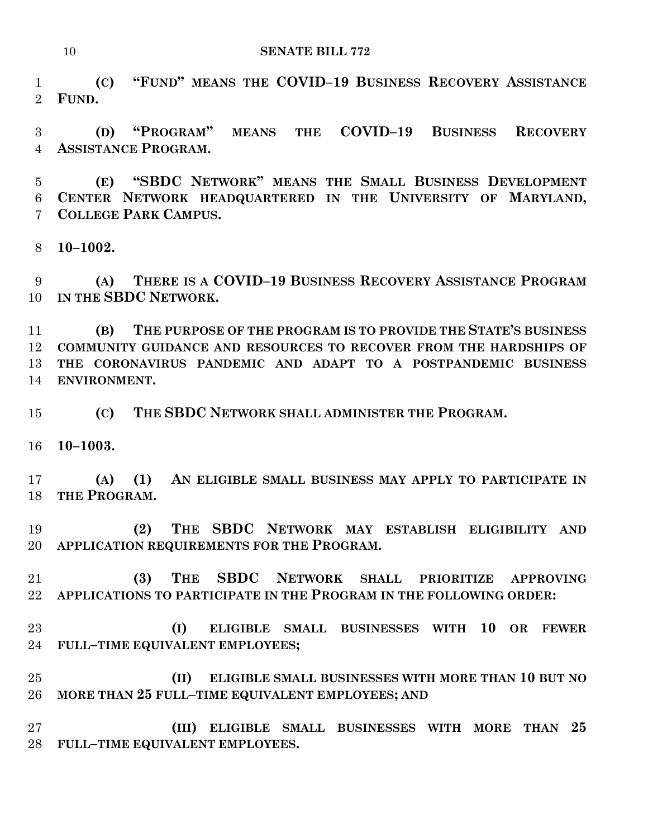**(C) "FUND" MEANS THE COVID–19 BUSINESS RECOVERY ASSISTANCE FUND.**

 **(D) "PROGRAM" MEANS THE COVID–19 BUSINESS RECOVERY ASSISTANCE PROGRAM.**

 **(E) "SBDC NETWORK" MEANS THE SMALL BUSINESS DEVELOPMENT CENTER NETWORK HEADQUARTERED IN THE UNIVERSITY OF MARYLAND, COLLEGE PARK CAMPUS.**

**10–1002.**

 **(A) THERE IS A COVID–19 BUSINESS RECOVERY ASSISTANCE PROGRAM IN THE SBDC NETWORK.**

 **(B) THE PURPOSE OF THE PROGRAM IS TO PROVIDE THE STATE'S BUSINESS COMMUNITY GUIDANCE AND RESOURCES TO RECOVER FROM THE HARDSHIPS OF THE CORONAVIRUS PANDEMIC AND ADAPT TO A POSTPANDEMIC BUSINESS ENVIRONMENT.**

**(C) THE SBDC NETWORK SHALL ADMINISTER THE PROGRAM.**

**10–1003.**

 **(A) (1) AN ELIGIBLE SMALL BUSINESS MAY APPLY TO PARTICIPATE IN THE PROGRAM.**

 **(2) THE SBDC NETWORK MAY ESTABLISH ELIGIBILITY AND APPLICATION REQUIREMENTS FOR THE PROGRAM.**

 **(3) THE SBDC NETWORK SHALL PRIORITIZE APPROVING APPLICATIONS TO PARTICIPATE IN THE PROGRAM IN THE FOLLOWING ORDER:**

 **(I) ELIGIBLE SMALL BUSINESSES WITH 10 OR FEWER FULL–TIME EQUIVALENT EMPLOYEES;**

 **(II) ELIGIBLE SMALL BUSINESSES WITH MORE THAN 10 BUT NO MORE THAN 25 FULL–TIME EQUIVALENT EMPLOYEES; AND**

 **(III) ELIGIBLE SMALL BUSINESSES WITH MORE THAN 25 FULL–TIME EQUIVALENT EMPLOYEES.**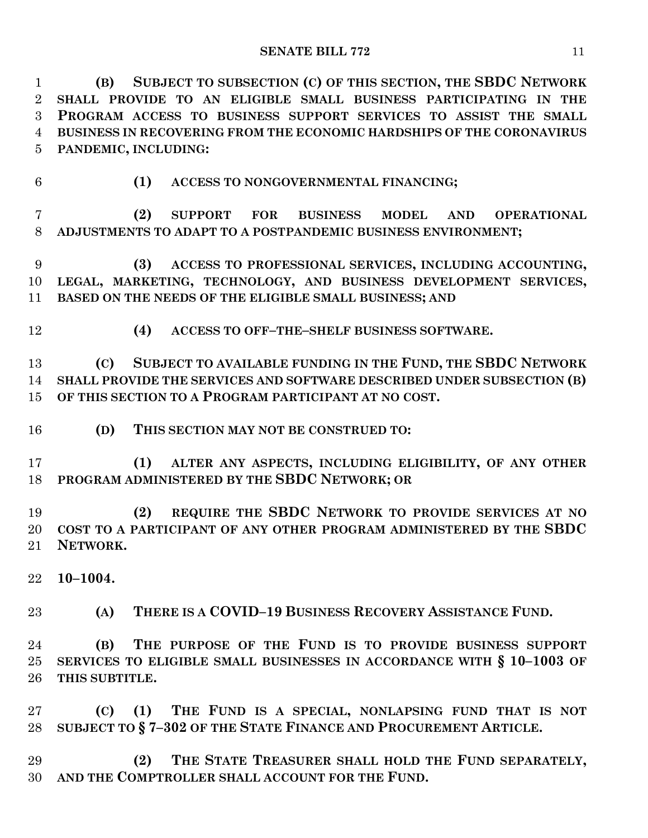**(B) SUBJECT TO SUBSECTION (C) OF THIS SECTION, THE SBDC NETWORK SHALL PROVIDE TO AN ELIGIBLE SMALL BUSINESS PARTICIPATING IN THE PROGRAM ACCESS TO BUSINESS SUPPORT SERVICES TO ASSIST THE SMALL BUSINESS IN RECOVERING FROM THE ECONOMIC HARDSHIPS OF THE CORONAVIRUS PANDEMIC, INCLUDING:**

**(1) ACCESS TO NONGOVERNMENTAL FINANCING;**

 **(2) SUPPORT FOR BUSINESS MODEL AND OPERATIONAL ADJUSTMENTS TO ADAPT TO A POSTPANDEMIC BUSINESS ENVIRONMENT;**

 **(3) ACCESS TO PROFESSIONAL SERVICES, INCLUDING ACCOUNTING, LEGAL, MARKETING, TECHNOLOGY, AND BUSINESS DEVELOPMENT SERVICES, BASED ON THE NEEDS OF THE ELIGIBLE SMALL BUSINESS; AND**

**(4) ACCESS TO OFF–THE–SHELF BUSINESS SOFTWARE.**

 **(C) SUBJECT TO AVAILABLE FUNDING IN THE FUND, THE SBDC NETWORK SHALL PROVIDE THE SERVICES AND SOFTWARE DESCRIBED UNDER SUBSECTION (B) OF THIS SECTION TO A PROGRAM PARTICIPANT AT NO COST.**

**(D) THIS SECTION MAY NOT BE CONSTRUED TO:**

 **(1) ALTER ANY ASPECTS, INCLUDING ELIGIBILITY, OF ANY OTHER PROGRAM ADMINISTERED BY THE SBDC NETWORK; OR**

 **(2) REQUIRE THE SBDC NETWORK TO PROVIDE SERVICES AT NO COST TO A PARTICIPANT OF ANY OTHER PROGRAM ADMINISTERED BY THE SBDC NETWORK.**

**10–1004.**

**(A) THERE IS A COVID–19 BUSINESS RECOVERY ASSISTANCE FUND.**

 **(B) THE PURPOSE OF THE FUND IS TO PROVIDE BUSINESS SUPPORT SERVICES TO ELIGIBLE SMALL BUSINESSES IN ACCORDANCE WITH § 10–1003 OF THIS SUBTITLE.**

 **(C) (1) THE FUND IS A SPECIAL, NONLAPSING FUND THAT IS NOT SUBJECT TO § 7–302 OF THE STATE FINANCE AND PROCUREMENT ARTICLE.**

 **(2) THE STATE TREASURER SHALL HOLD THE FUND SEPARATELY, AND THE COMPTROLLER SHALL ACCOUNT FOR THE FUND.**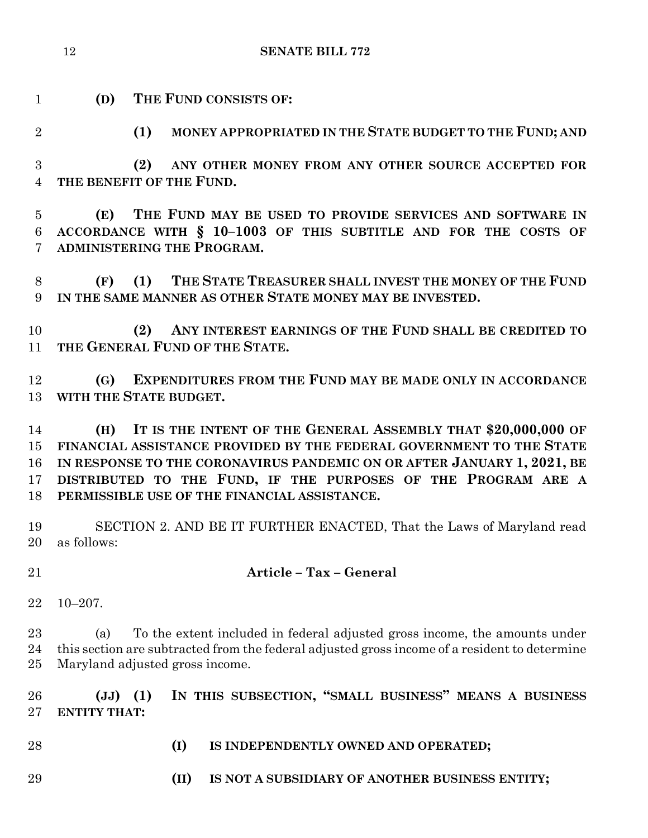- **(D) THE FUND CONSISTS OF:**
- 

**(1) MONEY APPROPRIATED IN THE STATE BUDGET TO THE FUND; AND**

 **(2) ANY OTHER MONEY FROM ANY OTHER SOURCE ACCEPTED FOR THE BENEFIT OF THE FUND.**

 **(E) THE FUND MAY BE USED TO PROVIDE SERVICES AND SOFTWARE IN ACCORDANCE WITH § 10–1003 OF THIS SUBTITLE AND FOR THE COSTS OF ADMINISTERING THE PROGRAM.**

 **(F) (1) THE STATE TREASURER SHALL INVEST THE MONEY OF THE FUND IN THE SAME MANNER AS OTHER STATE MONEY MAY BE INVESTED.**

 **(2) ANY INTEREST EARNINGS OF THE FUND SHALL BE CREDITED TO THE GENERAL FUND OF THE STATE.**

 **(G) EXPENDITURES FROM THE FUND MAY BE MADE ONLY IN ACCORDANCE WITH THE STATE BUDGET.**

 **(H) IT IS THE INTENT OF THE GENERAL ASSEMBLY THAT \$20,000,000 OF FINANCIAL ASSISTANCE PROVIDED BY THE FEDERAL GOVERNMENT TO THE STATE IN RESPONSE TO THE CORONAVIRUS PANDEMIC ON OR AFTER JANUARY 1, 2021, BE DISTRIBUTED TO THE FUND, IF THE PURPOSES OF THE PROGRAM ARE A PERMISSIBLE USE OF THE FINANCIAL ASSISTANCE.**

 SECTION 2. AND BE IT FURTHER ENACTED, That the Laws of Maryland read as follows:

# **Article – Tax – General**

10–207.

 (a) To the extent included in federal adjusted gross income, the amounts under this section are subtracted from the federal adjusted gross income of a resident to determine Maryland adjusted gross income.

 **(JJ) (1) IN THIS SUBSECTION, "SMALL BUSINESS" MEANS A BUSINESS ENTITY THAT:**

- 
- **(I) IS INDEPENDENTLY OWNED AND OPERATED;**
- **(II) IS NOT A SUBSIDIARY OF ANOTHER BUSINESS ENTITY;**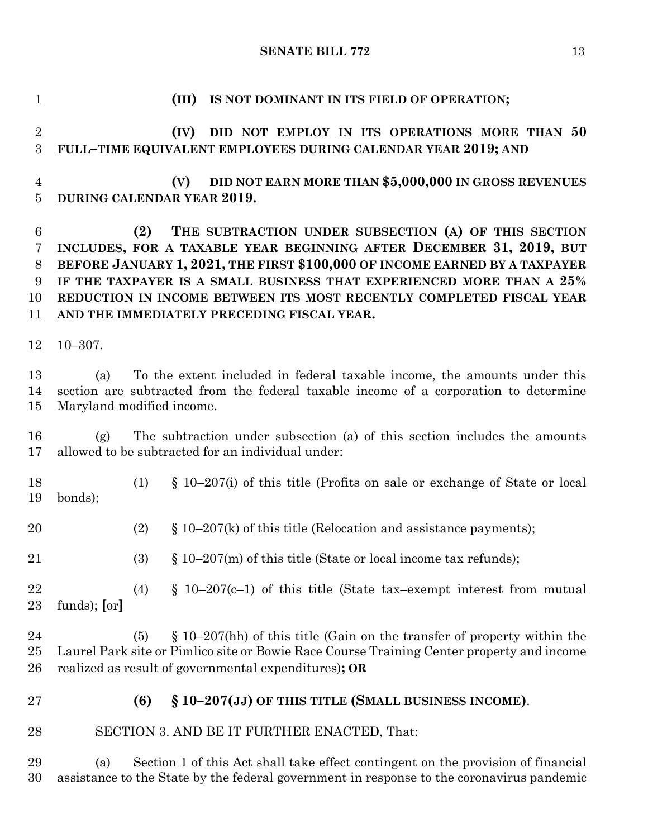**(III) IS NOT DOMINANT IN ITS FIELD OF OPERATION; (IV) DID NOT EMPLOY IN ITS OPERATIONS MORE THAN 50 FULL–TIME EQUIVALENT EMPLOYEES DURING CALENDAR YEAR 2019; AND (V) DID NOT EARN MORE THAN \$5,000,000 IN GROSS REVENUES DURING CALENDAR YEAR 2019. (2) THE SUBTRACTION UNDER SUBSECTION (A) OF THIS SECTION INCLUDES, FOR A TAXABLE YEAR BEGINNING AFTER DECEMBER 31, 2019, BUT BEFORE JANUARY 1, 2021, THE FIRST \$100,000 OF INCOME EARNED BY A TAXPAYER IF THE TAXPAYER IS A SMALL BUSINESS THAT EXPERIENCED MORE THAN A 25% REDUCTION IN INCOME BETWEEN ITS MOST RECENTLY COMPLETED FISCAL YEAR AND THE IMMEDIATELY PRECEDING FISCAL YEAR.** 10–307. (a) To the extent included in federal taxable income, the amounts under this section are subtracted from the federal taxable income of a corporation to determine Maryland modified income. (g) The subtraction under subsection (a) of this section includes the amounts allowed to be subtracted for an individual under: (1) § 10–207(i) of this title (Profits on sale or exchange of State or local bonds); 20 (2) § 10–207(k) of this title (Relocation and assistance payments); (3) § 10–207(m) of this title (State or local income tax refunds); 22 (4) § 10-207(c-1) of this title (State tax–exempt interest from mutual funds); **[**or**]** (5) § 10–207(hh) of this title (Gain on the transfer of property within the Laurel Park site or Pimlico site or Bowie Race Course Training Center property and income realized as result of governmental expenditures)**; OR (6) § 10–207(JJ) OF THIS TITLE (SMALL BUSINESS INCOME)**. SECTION 3. AND BE IT FURTHER ENACTED, That: (a) Section 1 of this Act shall take effect contingent on the provision of financial assistance to the State by the federal government in response to the coronavirus pandemic